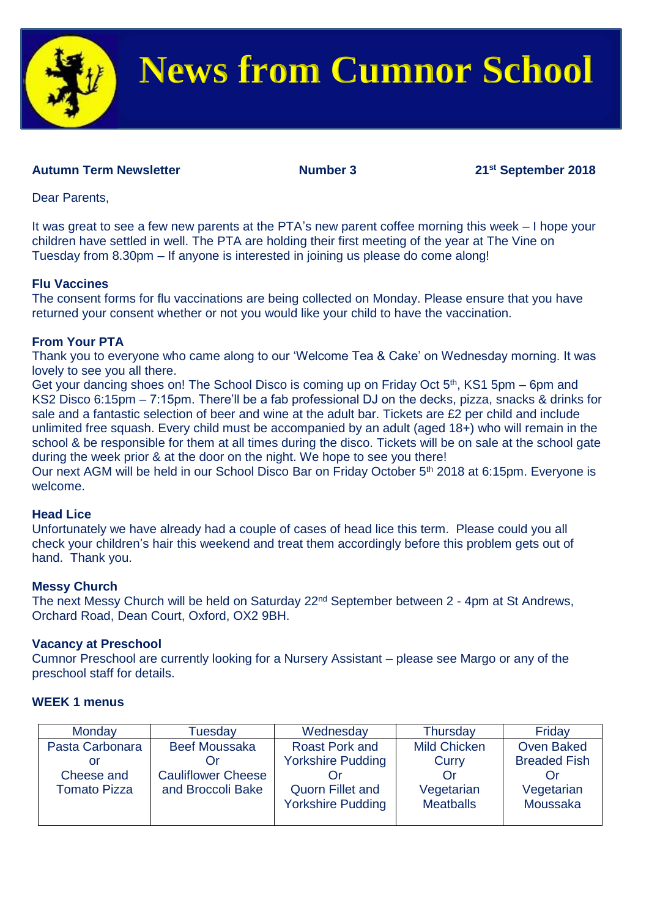

# **News from Cumnor School**

### **Autumn** Term Newsletter Number 3 21<sup>st</sup> September 2018

Dear Parents,

It was great to see a few new parents at the PTA's new parent coffee morning this week – I hope your children have settled in well. The PTA are holding their first meeting of the year at The Vine on Tuesday from 8.30pm – If anyone is interested in joining us please do come along!

#### **Flu Vaccines**

The consent forms for flu vaccinations are being collected on Monday. Please ensure that you have returned your consent whether or not you would like your child to have the vaccination.

#### **From Your PTA**

Thank you to everyone who came along to our 'Welcome Tea & Cake' on Wednesday morning. It was lovely to see you all there.

Get your dancing shoes on! The School Disco is coming up on Friday Oct 5<sup>th</sup>, KS1 5pm – 6pm and KS2 Disco 6:15pm – 7:15pm. There'll be a fab professional DJ on the decks, pizza, snacks & drinks for sale and a fantastic selection of beer and wine at the adult bar. Tickets are £2 per child and include unlimited free squash. Every child must be accompanied by an adult (aged 18+) who will remain in the school & be responsible for them at all times during the disco. Tickets will be on sale at the school gate during the week prior & at the door on the night. We hope to see you there!

Our next AGM will be held in our School Disco Bar on Friday October 5<sup>th</sup> 2018 at 6:15pm. Everyone is welcome.

#### **Head Lice**

Unfortunately we have already had a couple of cases of head lice this term. Please could you all check your children's hair this weekend and treat them accordingly before this problem gets out of hand. Thank you.

#### **Messy Church**

The next Messy Church will be held on Saturday 22nd September between 2 - 4pm at St Andrews, Orchard Road, Dean Court, Oxford, OX2 9BH.

#### **Vacancy at Preschool**

Cumnor Preschool are currently looking for a Nursery Assistant – please see Margo or any of the preschool staff for details.

#### **WEEK 1 menus**

| Monday              | Tuesdav                   | Wednesday                | <b>Thursday</b>     | Friday              |
|---------------------|---------------------------|--------------------------|---------------------|---------------------|
| Pasta Carbonara     | <b>Beef Moussaka</b>      | <b>Roast Pork and</b>    | <b>Mild Chicken</b> | <b>Oven Baked</b>   |
|                     |                           | <b>Yorkshire Pudding</b> | Curry               | <b>Breaded Fish</b> |
| Cheese and          | <b>Cauliflower Cheese</b> |                          | Or                  |                     |
| <b>Tomato Pizza</b> | and Broccoli Bake         | <b>Quorn Fillet and</b>  | Vegetarian          | Vegetarian          |
|                     |                           | <b>Yorkshire Pudding</b> | <b>Meatballs</b>    | Moussaka            |
|                     |                           |                          |                     |                     |